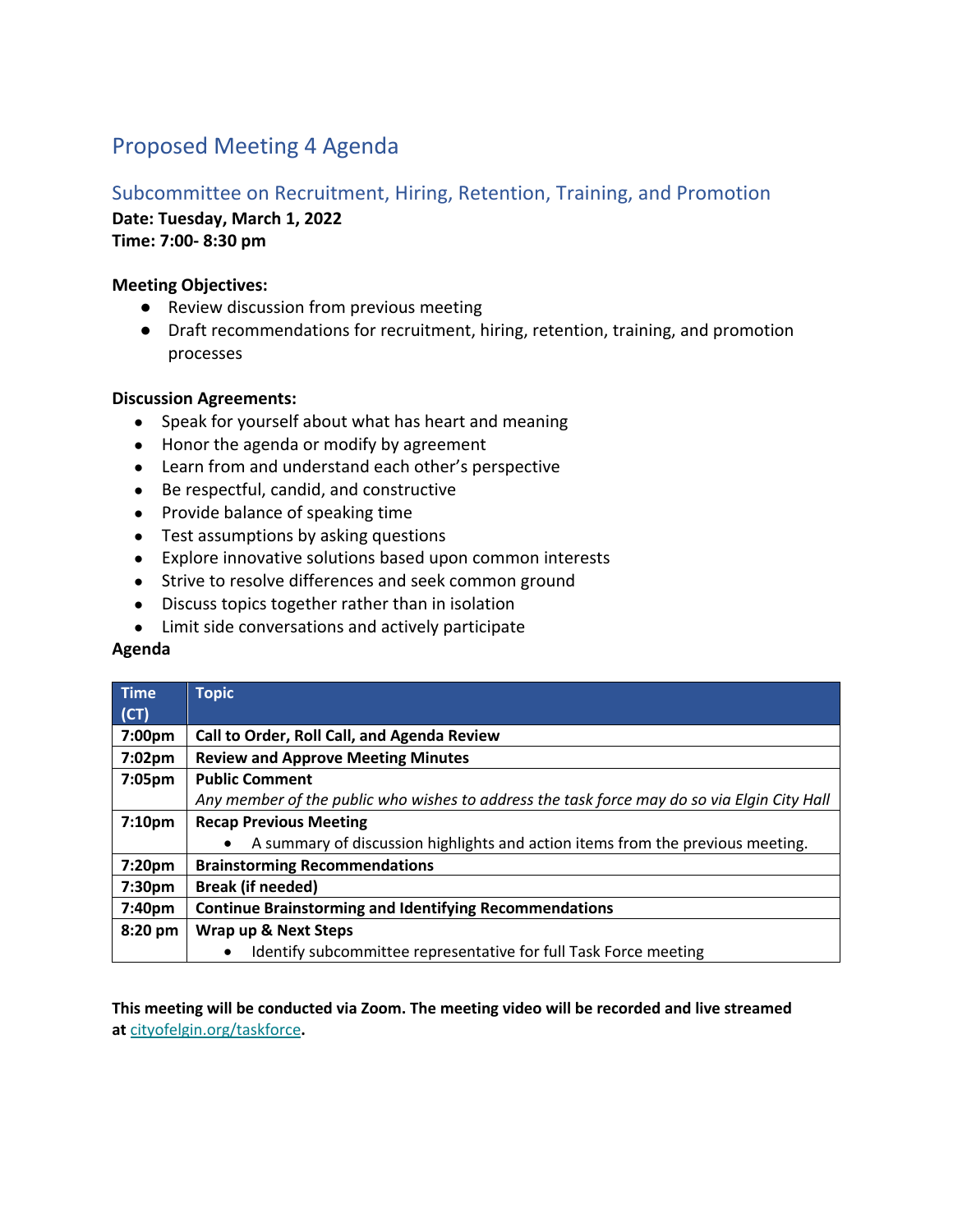# Proposed Meeting 4 Agenda

# Subcommittee on Recruitment, Hiring, Retention, Training, and Promotion

**Date: Tuesday, March 1, 2022**

**Time: 7:00- 8:30 pm**

#### **Meeting Objectives:**

- Review discussion from previous meeting
- Draft recommendations for recruitment, hiring, retention, training, and promotion processes

## **Discussion Agreements:**

- Speak for yourself about what has heart and meaning
- Honor the agenda or modify by agreement
- Learn from and understand each other's perspective
- Be respectful, candid, and constructive
- Provide balance of speaking time
- Test assumptions by asking questions
- Explore innovative solutions based upon common interests
- Strive to resolve differences and seek common ground
- Discuss topics together rather than in isolation
- Limit side conversations and actively participate

## **Agenda**

| <b>Time</b>        | <b>Topic</b>                                                                                |
|--------------------|---------------------------------------------------------------------------------------------|
| (CT)               |                                                                                             |
| 7:00pm             | Call to Order, Roll Call, and Agenda Review                                                 |
| 7:02pm             | <b>Review and Approve Meeting Minutes</b>                                                   |
| 7:05pm             | <b>Public Comment</b>                                                                       |
|                    | Any member of the public who wishes to address the task force may do so via Elgin City Hall |
| 7:10 <sub>pm</sub> | <b>Recap Previous Meeting</b>                                                               |
|                    | A summary of discussion highlights and action items from the previous meeting.              |
| 7:20pm             | <b>Brainstorming Recommendations</b>                                                        |
| 7:30 <sub>pm</sub> | <b>Break (if needed)</b>                                                                    |
| 7:40pm             | <b>Continue Brainstorming and Identifying Recommendations</b>                               |
| 8:20 pm            | Wrap up & Next Steps                                                                        |
|                    | Identify subcommittee representative for full Task Force meeting<br>٠                       |

**This meeting will be conducted via Zoom. The meeting video will be recorded and live streamed at** cityofelgin.org/taskforce**.**